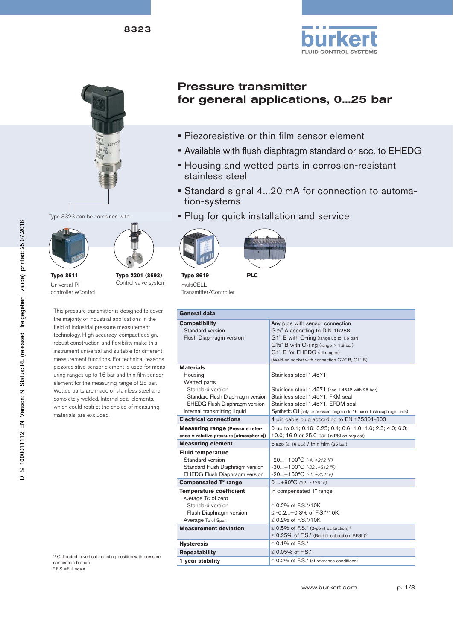



Type 8323 can be combined with...



**Type 8611** Universal PI controller eControl **Type 2301 (8693)** Control valve system

This pressure transmitter is designed to cover the majority of industrial applications in the field of industrial pressure measurement technology. High accuracy, compact design, robust construction and flexibility make this instrument universal and suitable for different measurement functions. For technical reasons piezoresistive sensor element is used for measuring ranges up to 16 bar and thin film sensor element for the measuring range of 25 bar. Wetted parts are made of stainless steel and completely welded. Internal seal elements, which could restrict the choice of measuring materials, are excluded.

Pressure transmitter for general applications, 0...25 bar

- Piezoresistive or thin film sensor element
- Available with flush diaphragm standard or acc. to EHEDG
- Housing and wetted parts in corrosion-resistant stainless steel
- Standard signal 4...20 mA for connection to automation-systems
- Plug for quick installation and service



multiCELL Transmitter/Controller

| General data                                                                                                                                                                |                                                                                                                                                                                                                                     |  |  |  |  |
|-----------------------------------------------------------------------------------------------------------------------------------------------------------------------------|-------------------------------------------------------------------------------------------------------------------------------------------------------------------------------------------------------------------------------------|--|--|--|--|
| <b>Compatibility</b><br>Standard version<br>Flush Diaphragm version                                                                                                         | Any pipe with sensor connection<br>G <sup>1/2"</sup> A according to DIN 16288<br>G1" B with O-ring (range up to 1.6 bar)<br>$G\frac{1}{2}$ " B with O-ring (range > 1.6 bar)                                                        |  |  |  |  |
|                                                                                                                                                                             | G1" B for EHEDG (all ranges)<br>(Weld-on socket with connection G1/2" B, G1" B)                                                                                                                                                     |  |  |  |  |
| <b>Materials</b><br>Housing<br>Wetted parts<br>Standard version<br>Standard Flush Diaphragm version<br><b>EHEDG Flush Diaphragm version</b><br>Internal transmitting liquid | Stainless steel 1.4571<br>Stainless steel 1.4571 (and 1.4542 with 25 bar)<br>Stainless steel 1.4571, FKM seal<br>Stainless steel 1.4571, EPDM seal<br>Synthetic Oil (only for pressure range up to 16 bar or flush diaphragm units) |  |  |  |  |
| <b>Electrical connections</b>                                                                                                                                               | 4 pin cable plug according to EN 175301-803                                                                                                                                                                                         |  |  |  |  |
| <b>Measuring range (Pressure refer-</b><br>ence = relative pressure [atmospheric])                                                                                          | 0 up to 0.1; 0.16; 0.25; 0.4; 0.6; 1.0; 1.6; 2.5; 4.0; 6.0;<br>10.0; 16.0 or 25.0 bar (in PSI on request)                                                                                                                           |  |  |  |  |
| <b>Measuring element</b>                                                                                                                                                    | piezo $( \leq 16$ bar) / thin film (25 bar)                                                                                                                                                                                         |  |  |  |  |
| <b>Fluid temperature</b><br>Standard version<br>Standard Flush Diaphragm version<br><b>EHEDG Flush Diaphragm version</b>                                                    | $-20+100^{\circ}C$ $(-4+212^{\circ}F)$<br>$-30+100^{\circ}C (-22+212 \degree F)$<br>$-20+150^{\circ}C$ (-4+302 °F)                                                                                                                  |  |  |  |  |
| Compensated T° range                                                                                                                                                        | 0  +80°C $(32.1 + 176)$ °F)                                                                                                                                                                                                         |  |  |  |  |
| <b>Temperature coefficient</b><br>Average Tc of zero<br>Standard version<br>Flush Diaphragm version<br>Average Tc of Span                                                   | in compensated T° range<br>$< 0.2\%$ of F.S.*/10K<br>$\leq$ -0.2+0.3% of F.S.*/10K<br>$< 0.2\%$ of F.S.*/10K                                                                                                                        |  |  |  |  |
| <b>Measurement deviation</b>                                                                                                                                                | $\leq$ 0.5% of F.S.* (2-point calibration) <sup>1)</sup><br>$\leq$ 0.25% of F.S.* (Best fit calibration, BFSL) <sup>1)</sup>                                                                                                        |  |  |  |  |
| <b>Hysteresis</b>                                                                                                                                                           | $< 0.1\%$ of F.S.*                                                                                                                                                                                                                  |  |  |  |  |
| <b>Repeatability</b>                                                                                                                                                        | ≤ 0.05% of $F.S.*$                                                                                                                                                                                                                  |  |  |  |  |
| 1-year stability                                                                                                                                                            | $\leq$ 0.2% of F.S.* (at reference conditions)                                                                                                                                                                                      |  |  |  |  |

<sup>1)</sup> Calibrated in vertical mounting position with pressure connection bottom

\* F.S.=Full scale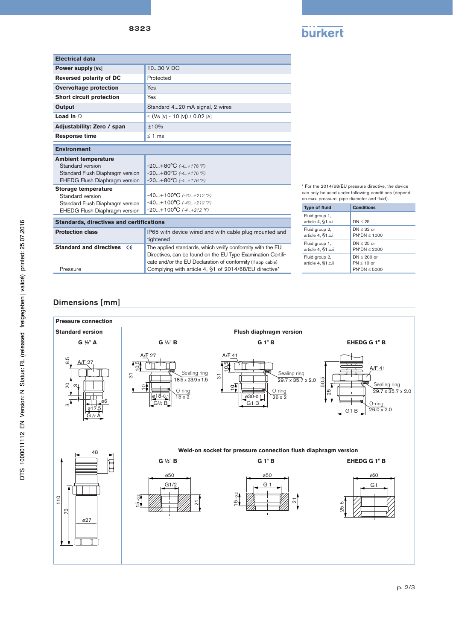

| <b>Electrical data</b>                          |                                                                                                                                                                                            |  |  |  |  |
|-------------------------------------------------|--------------------------------------------------------------------------------------------------------------------------------------------------------------------------------------------|--|--|--|--|
| <b>Power supply [Vs]</b>                        | 1030 V DC                                                                                                                                                                                  |  |  |  |  |
| <b>Reversed polarity of DC</b>                  | Protected                                                                                                                                                                                  |  |  |  |  |
| <b>Overvoltage protection</b>                   | <b>Yes</b>                                                                                                                                                                                 |  |  |  |  |
| <b>Short circuit protection</b>                 | Yes                                                                                                                                                                                        |  |  |  |  |
| Output                                          | Standard 420 mA signal, 2 wires                                                                                                                                                            |  |  |  |  |
| Load in $\Omega$                                | $\leq$ (Vs [V] - 10 [V]) / 0.02 [A]                                                                                                                                                        |  |  |  |  |
| Adjustability: Zero / span                      | ±10%                                                                                                                                                                                       |  |  |  |  |
| <b>Response time</b>                            | $\leq$ 1 ms                                                                                                                                                                                |  |  |  |  |
| <b>Environment</b>                              |                                                                                                                                                                                            |  |  |  |  |
| <b>Ambient temperature</b>                      |                                                                                                                                                                                            |  |  |  |  |
| Standard version                                | $-20+80°C$ $(-4+176$ °F)                                                                                                                                                                   |  |  |  |  |
| Standard Flush Diaphragm version                | $-20+80°C$ (-4+176 °F)                                                                                                                                                                     |  |  |  |  |
| EHEDG Flush Diaphragm version                   | $-20+80°C$ (-4+176 °F)                                                                                                                                                                     |  |  |  |  |
| <b>Storage temperature</b>                      |                                                                                                                                                                                            |  |  |  |  |
| Standard version                                | $-40+100$ °C $(-40+212)$ °F)                                                                                                                                                               |  |  |  |  |
| Standard Flush Diaphragm version                | $-40+100$ °C $(-40+212)$ °F)                                                                                                                                                               |  |  |  |  |
| EHEDG Flush Diaphragm version                   | $-20+100^{\circ}C (-4+212 \degree F)$                                                                                                                                                      |  |  |  |  |
| <b>Standards, directives and certifications</b> |                                                                                                                                                                                            |  |  |  |  |
| <b>Protection class</b>                         | IP65 with device wired and with cable plug mounted and<br>tightened                                                                                                                        |  |  |  |  |
| <b>Standard and directives</b><br>€€            | The applied standards, which verify conformity with the EU<br>Directives, can be found on the EU Type Examination Certifi-<br>cate and/or the EU Declaration of conformity (if applicable) |  |  |  |  |

\* For the 2014/68/EU pressure directive, the device can only be used under following conditions (depend on max. pressure, pipe diameter and fluid).

| <b>Type of fluid</b>                 | <b>Conditions</b>                                |
|--------------------------------------|--------------------------------------------------|
| Fluid group 1,<br>article 4, §1.c.i  | DN < 25                                          |
| Fluid group 2,<br>article 4, §1.c.i  | $DN < 32$ or<br>$PN^*DN < 1000$                  |
| Fluid group 1,<br>article 4, §1.c.ii | $DN < 25$ or<br>$PN^*DN < 2000$                  |
| Fluid group 2,<br>article 4, §1.c.ii | $DN < 200$ or<br>$PN < 10$ or<br>$PN^*DN < 5000$ |

# Dimensions [mm]

Pressure



Complying with article 4, §1 of 2014/68/EU directive\*